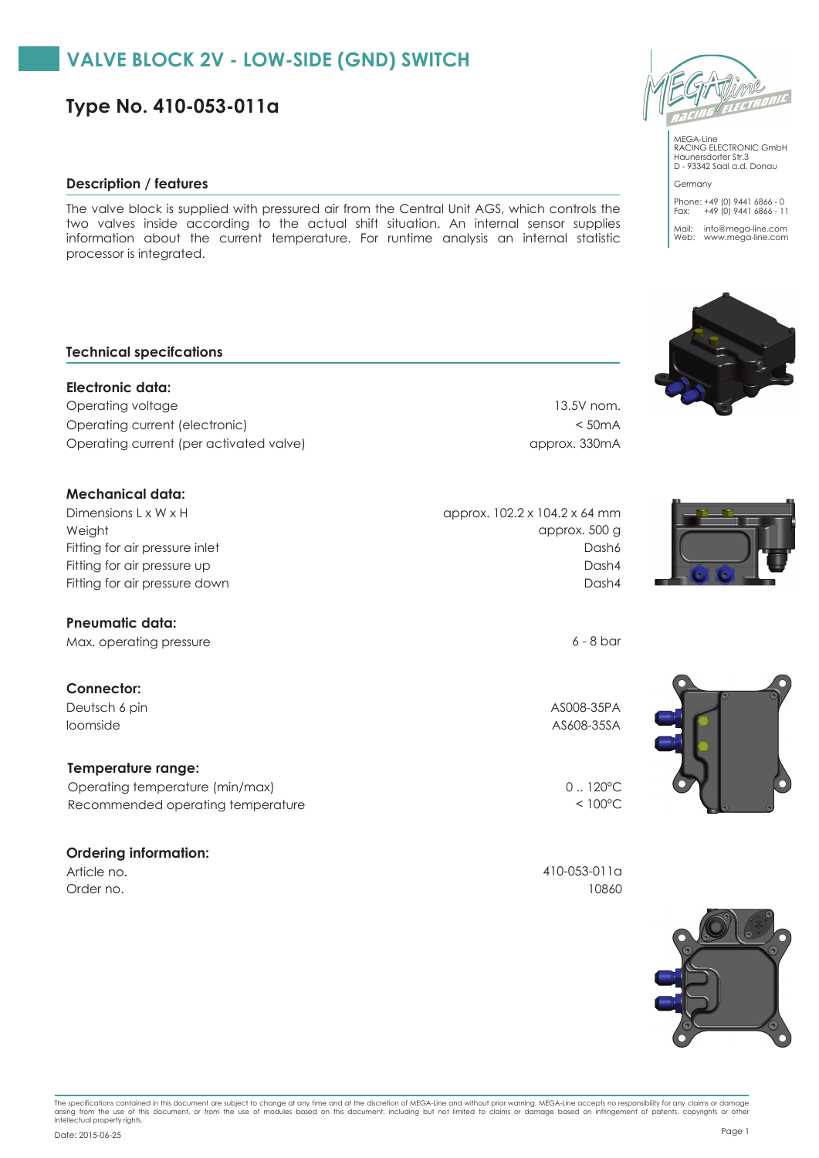# **VALVE BLOCK 2V - LOW-SIDE (GND) SWITCH**

**Type No. 410-053-011a**

## **Description / features**

The valve block is supplied with pressured air from the Central Unit AGS, which controls the two valves inside according to the actual shift situation. An internal sensor supplies information about the current temperature. For runtime analysis an internal statistic processor is integrated.

## **Technical specifcations**

**Electronic data:** Operating voltage 13.5V nom. Operating current (electronic) < 50mA Operating current (per activated valve) approx. 330mA

## **Mechanical data:**

Weight Dimensions L x W x H Fitting for air pressure up Fitting for air pressure inlet Fitting for air pressure down Dash4

#### **Pneumatic data:**

Max. operating pressure 6 - 8 bar

# **Connector:**

Deutsch 6 pin AS008-35PA loomside AS608-35SA

#### **Temperature range:**

Recommended operating temperature < 100°C Operating temperature (min/max) 0... 120°C

#### **Ordering information:**



Haunersdorfer Str.3 D - 93342 Saal a.d. Donau Germany Phone: +49 (0) 9441 6866 - 0 Fax: +49 (0) 9441 6866 - 11

Mail: info@mega-line.com Web: www.mega-line.com





Dash4

Dash6

approx. 500 g

approx. 102.2 x 104.2 x 64 mm



Article no. 410-053-011a Order no. 10860



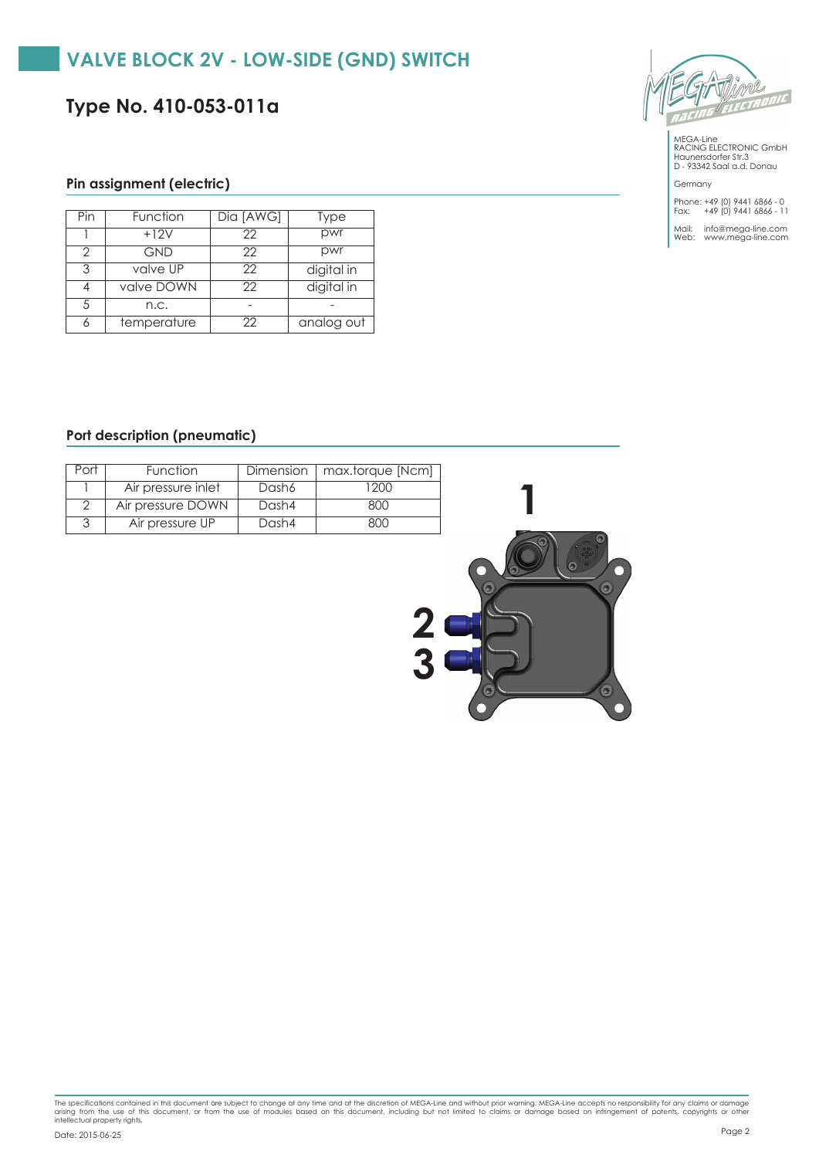# **VALVE BLOCK 2V - LOW-SIDE (GND) SWITCH**

**Type No. 410-053-011a**



MEGA-Line RACING ELECTRONIC GmbH Haunersdorfer Str.3 D - 93342 Saal a.d. Donau

Germany Phone: +49 (0) 9441 6866 - 0 Fax: +49 (0) 9441 6866 - 11

Mail: info@mega-line.com Web: www.mega-line.com

# **Pin assignment (electric)**

| Pin | Function    | Dia [AWG] | Type       |
|-----|-------------|-----------|------------|
|     | $+12V$      | 22        | pwr        |
| 2   | <b>GND</b>  | 22        | pwr        |
| 3   | valve UP    | 22        | digital in |
|     | valve DOWN  | 22        | digital in |
| 5   | n.c.        |           |            |
|     | temperature | 22        | analog out |

### **Port description (pneumatic)**

| Port | Function           | Dimension 1 | max.torque [Ncm] |
|------|--------------------|-------------|------------------|
|      | Air pressure inlet | Dash6       | 1200             |
|      | Air pressure DOWN  | Dash4       | 800              |
|      | Air pressure UP    | Dash4       | 800              |



The specifications contained in this document are subject to change at any time and at the discretion of MEGA-Line and without prior warning. MEGA-Line accepts no responsibility for any claims or damage<br>arising from the us